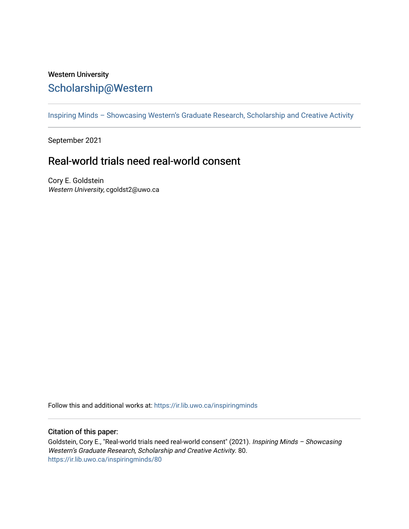## Western University [Scholarship@Western](https://ir.lib.uwo.ca/)

[Inspiring Minds – Showcasing Western's Graduate Research, Scholarship and Creative Activity](https://ir.lib.uwo.ca/inspiringminds) 

September 2021

## Real-world trials need real-world consent

Cory E. Goldstein Western University, cgoldst2@uwo.ca

Follow this and additional works at: [https://ir.lib.uwo.ca/inspiringminds](https://ir.lib.uwo.ca/inspiringminds?utm_source=ir.lib.uwo.ca%2Finspiringminds%2F80&utm_medium=PDF&utm_campaign=PDFCoverPages) 

## Citation of this paper:

Goldstein, Cory E., "Real-world trials need real-world consent" (2021). Inspiring Minds - Showcasing Western's Graduate Research, Scholarship and Creative Activity. 80. [https://ir.lib.uwo.ca/inspiringminds/80](https://ir.lib.uwo.ca/inspiringminds/80?utm_source=ir.lib.uwo.ca%2Finspiringminds%2F80&utm_medium=PDF&utm_campaign=PDFCoverPages)